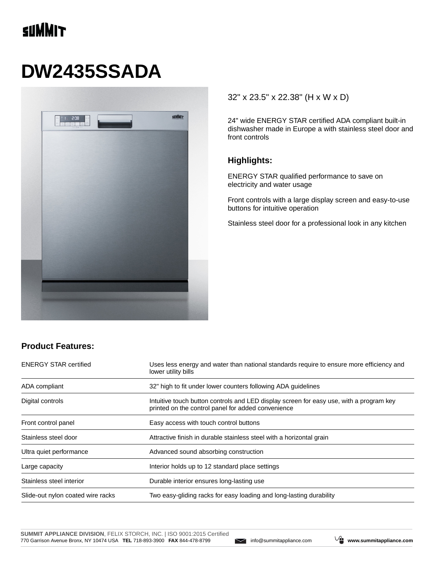## **SUMMIT**

# **DW2435SSADA**



#### 32" x 23.5" x 22.38" (H x W x D)

24" wide ENERGY STAR certified ADA compliant built-in dishwasher made in Europe a with stainless steel door and front controls

#### **Highlights:**

ENERGY STAR qualified performance to save on electricity and water usage

Front controls with a large display screen and easy-to-use buttons for intuitive operation

Stainless steel door for a professional look in any kitchen

### **Product Features:**

| <b>ENERGY STAR certified</b>      | Uses less energy and water than national standards require to ensure more efficiency and<br>lower utility bills                               |  |
|-----------------------------------|-----------------------------------------------------------------------------------------------------------------------------------------------|--|
| ADA compliant                     | 32" high to fit under lower counters following ADA quidelines                                                                                 |  |
| Digital controls                  | Intuitive touch button controls and LED display screen for easy use, with a program key<br>printed on the control panel for added convenience |  |
| Front control panel               | Easy access with touch control buttons                                                                                                        |  |
| Stainless steel door              | Attractive finish in durable stainless steel with a horizontal grain                                                                          |  |
| Ultra quiet performance           | Advanced sound absorbing construction                                                                                                         |  |
| Large capacity                    | Interior holds up to 12 standard place settings                                                                                               |  |
| Stainless steel interior          | Durable interior ensures long-lasting use                                                                                                     |  |
| Slide-out nylon coated wire racks | Two easy-gliding racks for easy loading and long-lasting durability                                                                           |  |